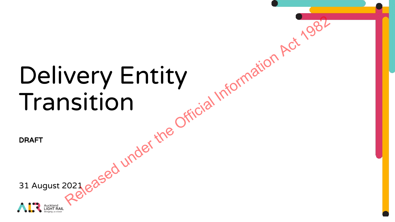# Delivery Entity Transition very Entity<br>Isition<br>Released under the Official Information Act 1982

DRAFT

31 August 2021

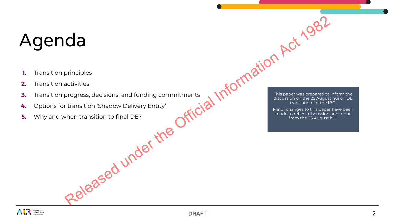# Agenda

- **1.** Transition principles
- **2.** Transition activities
- **3.** Transition progress, decisions, and funding commitments<br>
4. Options for transition 'Shadow Delivery Entity'<br>
E Why and when transition to final DE?
- **4.** Options for transition 'Shadow Delivery Entity'
- **5.** Why and when transition to final DE? Released under the Ot.

This paper was prepared to inform the discussion on the 25 August hui on DE 1 Information Act 1982

Minor changes to this paper have been made to reflect discussion and input from the 25 August hui.

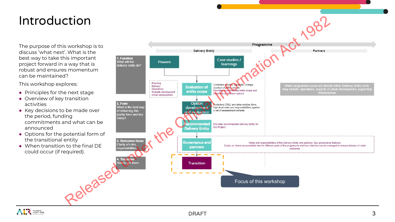# Introduction

The purpose of this workshop is to discuss 'what next'. What is the best way to take this important project forward in a way that is robust and ensures momentum can be maintained?

This workshop explores:

- **●** Principles for the next stage
- **●** Overview of key transition activities
- **●** Key decisions to be made over the period, funding commitments and what can be announced
- **●** Options for the potential form of the transitional entity
- **●** When transition to the final DE could occur (if required).



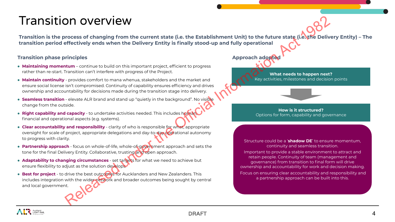## Transition overview

**Transition is the process of changing from the current state (i.e. the Establishment Unit) to the future state (i.e. the Delivery Entity) – The transition period effectively ends when the Delivery Entity is finally stood-up and fully operational DIT OVETVIEW**<br>
Process of changing from the current state (i.e. the Establishment Unit) to the future state (i.e. The Establishment Unit) to the future state (i.e. The Effectively ends when the Delivery Entity is finally

### **Transition phase principles**

- **Maintaining momentum** continue to build on this important project, efficient to progress rather than re-start. Transition can't interfere with progress of the Project.
- **Maintain continuity**  provides comfort to mana whenua, stakeholders and the market and ensure social license isn't compromised. Continuity of capability ensures efficiency and drives ownership and accountability for decisions made during the transition stage into delivery.
- **Seamless transition** elevate ALR brand and stand up "quietly in the background". No visible change from the outside.
- **Right capability and capacity** to undertake activities needed. This includes human financial and operational aspects (e.g. systems).
- **Clear accountability and responsibility** clarity of who is responsible for what, appropriate oversight for scale of project, appropriate delegations and day-to-day operational autonomy to progress with clarity.
- **Partnership approach** focus on whole-of-life, whole-of-government approach and sets the tone for the final Delivery Entity. Collaborative, trusting and open approach.
- **Adaptability to changing circumstances** set targets for what we need to achieve but ensure flexibility to adjust as the solution develops.
- **Best for project** to drive the best outcomes for Aucklanders and New Zealanders. This includes integration with the wider network and broader outcomes being sought by central and local government.

### **Approach adopte**

**What needs to happen next?** Key activities, milestones and decision points

### **How is it structured?** Options for form, capability and governance

### Structure could be a '**shadow DE**' to ensure momentum, continuity and seamless transition.

Important to provide a stable environment to attract and retain people. Continuity of team (management and governance) from transition to final form will drive ownership and accountability for work and decision making. Focus on ensuring clear accountability and responsibility and a partnership approach can be built into this.

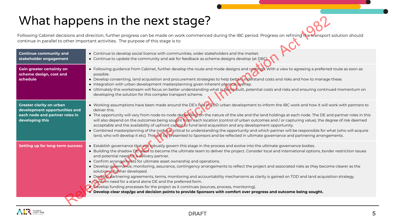# What happens in the next stage?

|                                                                                                                       | What happens in the next stage?                                                                                                                                                                                                                                                                                                                                                                                                                                                                                                                                                                                                                                                                                                                                                                                                                                                                                                                                                                                                |  |  |  |  |
|-----------------------------------------------------------------------------------------------------------------------|--------------------------------------------------------------------------------------------------------------------------------------------------------------------------------------------------------------------------------------------------------------------------------------------------------------------------------------------------------------------------------------------------------------------------------------------------------------------------------------------------------------------------------------------------------------------------------------------------------------------------------------------------------------------------------------------------------------------------------------------------------------------------------------------------------------------------------------------------------------------------------------------------------------------------------------------------------------------------------------------------------------------------------|--|--|--|--|
|                                                                                                                       | Following Cabinet decisions and direction, further progress can be made on work commenced during the IBC period. Progress on refining the transport solution should<br>continue in parallel to other important activities. The purpose of this stage is to:                                                                                                                                                                                                                                                                                                                                                                                                                                                                                                                                                                                                                                                                                                                                                                    |  |  |  |  |
| <b>Continue community and</b><br>stakeholder engagement                                                               | • Continue to develop social licence with communities, wider stakeholders and the market.<br>• Continue to update the community and ask for feedback as scheme designs develop (at DBC).                                                                                                                                                                                                                                                                                                                                                                                                                                                                                                                                                                                                                                                                                                                                                                                                                                       |  |  |  |  |
| <b>Gain greater certainty on</b><br>scheme design, cost and<br>schedule                                               | • Following guidance from Cabinet, further develop the route and mode designs and costings. With a view to agreeing a preferred route as soon as<br>possible.<br>• Develop consenting, land acquisition and procurement strategies to help better understand costs and risks and how to manage these.<br>• Integration with urban development masterplanning given inherent physical overlap.<br>• Ultimately this workstream will focus on better understanding what is being built, potential costs and risks and ensuring continued momentum on<br>developing the solution for this complex transport scheme.                                                                                                                                                                                                                                                                                                                                                                                                               |  |  |  |  |
| <b>Greater clarity on urban</b><br>development opportunities and<br>each node and partner roles in<br>developing this | • Working assumptions have been made around the DE's role in TOD urban development to inform the IBC work and how it will work with partners to<br>deliver this.<br>• The opportunity will vary from node-to-node depending on the nature of the site and the land holdings at each node. The DE and partner roles in this<br>will also depend on the outcomes being sought from each location (control of urban outcomes and / or capturing value), the degree of risk deemed<br>acceptable and the availability of upfront capital to fund land acquisition and any development opportunity.<br>• Combined masterplanning of the nodes is critical to understanding the opportunity and which partner will be responsible for what (who will acquire<br>land, who will develop it etc). This will be presented to Sponsors and be reflected in ultimate governance and partnering arrangements.                                                                                                                              |  |  |  |  |
| <b>Setting up for long-term success</b>                                                                               | • Establish governance that will robustly govern this stage in the process and evolve into the ultimate governance bodies.<br>• Building the shadow DE team to become the ultimate team to deliver the project. Consider local and international options, border restriction issues<br>and potential need for a delivery partner.<br>• Confirm arrangements for ultimate asset ownership and operations.<br>• Develop governance, monitoring, assurance, contingency arrangements to reflect the project and associated risks as they become clearer as the<br>solution is further developed.<br>• Develop partnering agreements, terms, monitoring and accountability mechanisms as clarity is gained on TOD and land acquisition strategy.<br>. Confirm need for a stand alone DE and the preferred form.<br>Develop funding processes for the project as it continues (sources, process, monitoring).<br>Develop clear stop/go and decision points to provide Sponsors with comfort over progress and outcome being sought. |  |  |  |  |
|                                                                                                                       |                                                                                                                                                                                                                                                                                                                                                                                                                                                                                                                                                                                                                                                                                                                                                                                                                                                                                                                                                                                                                                |  |  |  |  |

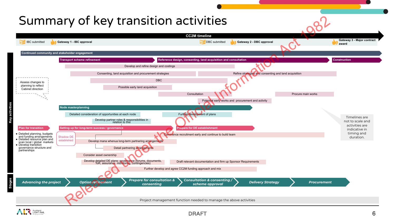# Summary of key transition activities

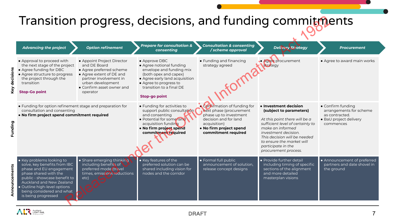# Transition progress, decisions, and funding commitments

|                                                                                                                                                    |                                                                                                                                                                                                                                                               |                                                                                                                                                                                            | Transition progress, decisions, and funding commitments                                                                                                                                                        |                                                                                                                                                                                                                                                                              |                                                                                                                                  |                                                                          |
|----------------------------------------------------------------------------------------------------------------------------------------------------|---------------------------------------------------------------------------------------------------------------------------------------------------------------------------------------------------------------------------------------------------------------|--------------------------------------------------------------------------------------------------------------------------------------------------------------------------------------------|----------------------------------------------------------------------------------------------------------------------------------------------------------------------------------------------------------------|------------------------------------------------------------------------------------------------------------------------------------------------------------------------------------------------------------------------------------------------------------------------------|----------------------------------------------------------------------------------------------------------------------------------|--------------------------------------------------------------------------|
|                                                                                                                                                    | <b>Advancing the project</b>                                                                                                                                                                                                                                  | <b>Option refinement</b>                                                                                                                                                                   | <b>Prepare for consultation &amp;</b><br>consenting                                                                                                                                                            | <b>Consultation &amp; consenting</b><br>/ scheme approval                                                                                                                                                                                                                    | <b>Delivery Strategy</b>                                                                                                         | <b>Procurement</b>                                                       |
|                                                                                                                                                    | • Approval to proceed with<br>the next stage of the project<br>• Agree funding for DBC<br>• Agree structure to progress<br>the project through the<br>transition<br><b>Stop-Go point</b>                                                                      | • Appoint Project Director<br>and DE Board<br>• Agree preferred scheme<br>• Agree extent of DE and<br>partner involvement in<br>urban development<br>• Confirm asset owner and<br>operator | • Approve DBC<br>• Agree notional funding<br>envelope and funding mix<br>(both opex and capex)<br>• Agree early land acquisition<br>• Agree to progress to<br>transition to a final DE<br><b>Stop-go point</b> | • Funding and financing<br>strategy agreed                                                                                                                                                                                                                                   | • Agree procurement<br>strategy                                                                                                  | • Agree to award main works                                              |
| • Funding for option refinement stage and preparation for<br>consultation and consenting<br>. No firm project spend commitment required<br>Funding |                                                                                                                                                                                                                                                               | • Funding for activities to<br>support public consultation<br>and consenting<br>• Potential for some land<br>acquisition funding<br>. No firm project spend<br>commitment required         | <b>Confirmation of funding for</b><br>next phase (procurement<br>phase up to investment<br>decision and for land<br>acquisition)<br>• No firm project spend<br>commitment required                             | • Investment decision<br>(subject to parameters)<br>At this point there will be a<br>sufficient level of certainty to<br>make an informed<br>investment decision.<br>This decision will be needed<br>to ensure the market will<br>participate in the<br>procurement process. | • Confirm funding<br>arrangements for scheme<br>as contracted.<br>· BaU project delivery<br>commences                            |                                                                          |
| Ę                                                                                                                                                  | • Key problems looking to<br>solve, key benefits from IBC<br>phase and EU engagement<br>phase shared with the<br>public - showcase benefit to<br>Auckland and New Zealand<br>· Outline high-level options<br>being considered and what<br>is being progressed | • Share emerging thinking<br>including benefits of<br>preferred mode (travel<br>times, emissions reductions<br>etc)                                                                        | • Key features of the<br>preferred solution can be<br>shared including vision for<br>nodes and the corridor                                                                                                    | · Formal full public<br>announcement of solution,<br>release concept designs                                                                                                                                                                                                 | • Provide further detail<br>including timing of specific<br>sections of the alignment<br>and more detailed<br>masterplan visions | • Announcement of preferred<br>partners and date shovel in<br>the ground |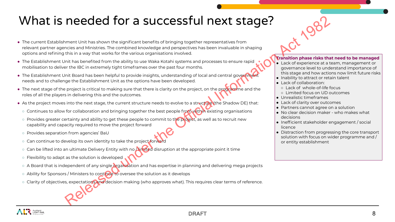# What is needed for a successful next stage?

- The current Establishment Unit has shown the significant benefits of bringing together representatives from relevant partner agencies and Ministries. The combined knowledge and perspectives has been invaluable in shaping options and refining this in a way that works for the various organisations involved. Released to the activity the state of the state of the state of the state of the state of the state of the state of the state of the state of the state of the state of the state of the state of the state of the state of th
- The Establishment Unit has benefited from the ability to use Waka Kotahi systems and processes to ensure rapid mobilisation to deliver the IBC in extremely tight timeframes over the past four months.
- The Establishment Unit Board has been helpful to provide insights, understanding of local and central government needs and to challenge the Establishment Unit as the options have been developed.
- The next stage of the project is critical to making sure that there is clarity on the project, on the programme and the roles of all the players in delivering this and the outcomes.
- As the project moves into the next stage, the current structure needs to evolve to a structure (the Shadow DE) that:
- Continues to allow for collaboration and bringing together the best people from within existing organisations
- Provides greater certainty and ability to get these people to commit to the project, as well as to recruit new capability and capacity required to move the project forward
- Provides separation from agencies' BaU
- Can continue to develop its own identity to take the project forward
- Can be lifted into an ultimate Delivery Entity with no **Aimited disruption at the appropriate point it time**
- Flexibility to adapt as the solution is developed
- A Board that is independent of any single organisation and has expertise in planning and delivering mega proiects
- Ability for Sponsors / Ministers to continue to oversee the solution as it develops
- Clarity of objectives, expectations and decision making (who approves what). This requires clear terms of reference.

### **Transition phase risks that need to be managed**

- Lack of experience at a team, management or governance level to understand importance of this stage and how actions now limit future risks
- Inability to attract or retain talent
- Lack of collaboration:
	- Lack of whole-of-life focus
	- Limited focus on UD outcomes
- $\bullet$  Unrealistic timeframes
- Lack of clarity over outcomes
- Partners cannot agree on a solution
- No clear decision maker who makes what decisions
- Inefficient stakeholder engagement / social licence
- Distraction from progressing the core transport solution with focus on wider programme and / or entity establishment

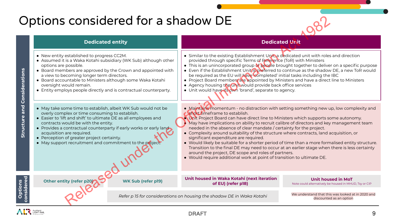# Options considered for a shadow DE



### **Dedicated entity Dedicated Unit**

- New entity established to progress CC2M.
- Assumed it is a Waka Kotahi subsidiary (WK Sub) although other options are possible.
- Board members are approved by the Crown and appointed with a view to becoming longer term directors.
- Board accountable to Ministers although some Waka Kotahi oversight would remain.
- Entity employs people directly and is contractual counterparty.
- May take some time to establish, albeit WK Sub would not be overly complex or time consuming to establish.
- Easier to 'lift and shift' to ultimate DE as all employees and contracts would be with the entity.
- Provides a contractual counterparty if early works or early land acquisition are required.
- Perception of greater project certainty.
- May support recruitment and commitment to the project.
- 
- Similar to the existing Establishment Unit, a dedicated unit with roles and direction provided through specific Terms of Reference (ToR) with Ministers
- This is an unincorporated group of people brought together to deliver on a specific purpose
- Even if the Establishment Unit is preferred to continue as the shadow DE, a new ToR would be required as the EU will have 'completed' initial tasks including the IBC
- Project Board members are appointed by Ministers and have a direct line to Ministers
- Agency housing the unit would provide back office services
- Unit would have its own 'brand', separate to agency.
- Maintains momentum no distraction with setting something new up, low complexity and short timeframe to establish.
- Unit Project Board can have direct line to Ministers which supports some autonomy. May have implications on ability to recruit calibre of directors and key management team needed in the absence of clear mandate / certainty for the project.
- Complexity around suitability of the structure where contracts, land acquisition, or significant expenditure are required.
- Would likely be suitable for a shorter period of time than a more formalised entity structure. Transition to the final DE may need to occur at an earlier stage when there is less certainty around the project, DE scope and roles of partners. **CONSIDERED FOR A Shadow DE**<br> **Dedicated entity**<br> **Dedicated unit western computers (22).**<br> **Example the Constrainer Schemes Constrainer is a was kotain substitute of the Columbus and the Columbus and the Columbus and the** 
	- Would require additional work at point of transition to ultimate DE.

### **Unit housed in Waka Kotahi (next iteration**  Other entity (refer p20) **OULD SEE 20)** WK Sub (refer p19) **OULD SEE 2019** Of EU) (refer p18)

**Unit housed in MoT**  Note could alternatively be housed in MHUD, Tsy or CIP

*Refer p 15 for considerations on housing the shadow DE in Waka Kotahi*

We understand that this was looked at in 2020 and discounted as an option

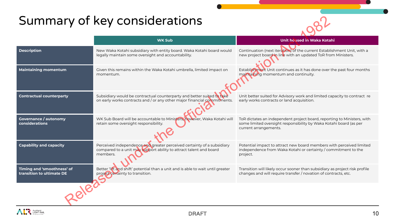# Summary of key considerations



|                                                         | Summary of key considerations                                                                                                                            |                                                                                                                                                                        |  |  |
|---------------------------------------------------------|----------------------------------------------------------------------------------------------------------------------------------------------------------|------------------------------------------------------------------------------------------------------------------------------------------------------------------------|--|--|
|                                                         | <b>WK Sub</b>                                                                                                                                            | <b>Unit housed in Waka Kotahi</b>                                                                                                                                      |  |  |
| <b>Description</b>                                      | New Waka Kotahi subsidiary with entity board. Waka Kotahi board would<br>legally maintain some oversight and accountability.                             | Continuation (next iteration) of the current Establishment Unit, with a<br>new project board in line with an updated ToR from Ministers.                               |  |  |
| <b>Maintaining momentum</b>                             | Given this remains within the Waka Kotahi umbrella, limited impact on<br>momentum.                                                                       | Establishment Unit continues as it has done over the past four months<br>maintaining momentum and continuity.                                                          |  |  |
| <b>Contractual counterparty</b>                         | Subsidiary would be contractual counterparty and better suited to take<br>on early works contracts and / or any other major financial commitments.       | Unit better suited for Advisory work and limited capacity to contract re<br>early works contracts or land acquisition.                                                 |  |  |
| <b>Governance / autonomy</b><br>considerations          | WK Sub Board will be accountable to Ministers, however, Waka Kotahi will<br>retain some oversight responsibility.                                        | ToR dictates an independent project board, reporting to Ministers, with<br>some limited oversight responsibility by Waka Kotahi board (as per<br>current arrangements. |  |  |
| <b>Capability and capacity</b>                          | Perceived independence and greater perceived certainty of a subsidiary<br>compared to a unit may support ability to attract talent and board<br>members. | Potential impact to attract new board members with perceived limited<br>independence from Waka Kotahi or certainty / commitment to the<br>project.                     |  |  |
| Timing and 'smoothness' of<br>transition to ultimate DE | Better 'lift and shift' potential than a unit and is able to wait until greater<br>project certainty to transition.                                      | Transition will likely occur sooner than subsidiary as project risk profile<br>changes and will require transfer / novation of contracts, etc.                         |  |  |
|                                                         |                                                                                                                                                          |                                                                                                                                                                        |  |  |

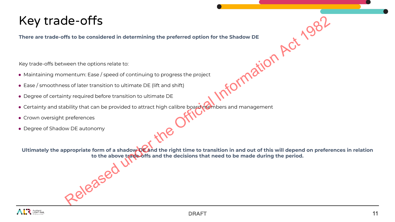# Key trade-offs

**There are trade-offs to be considered in determining the preferred option for the Shadow DE**

Key trade-offs between the options relate to:

- Maintaining momentum: Ease / speed of continuing to progress the project
- Ease / smoothness of later transition to ultimate DE (lift and shift)
- Degree of certainty required before transition to ultimate DE
- Certainty and stability that can be provided to attract high calibre board members and management
- Crown oversight preferences
- Degree of Shadow DE autonomy

**Ultimately the appropriate form of a shadow DE and the right time to transition in and out of this will depend on preferences in relation to the above trade-offs and the decisions that need to be made during the period.** dered in determining the preferred option for the Shadow DE<br>
dions relate to:<br>
use/speed of continuing to progress the project<br>
ransition to ultimate DE (lift and shift)<br>
ad before transition to ultimate DE<br>
t can be provi

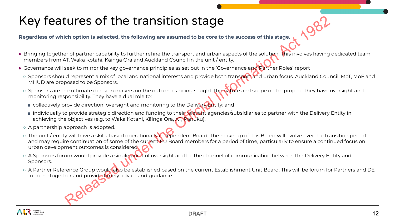# Key features of the transition stage

**Regardless of which option is selected, the following are assumed to be core to the success of this stage.**

- Bringing together of partner capability to further refine the transport and urban aspects of the solution. This involves having dedicated team members from AT, Waka Kotahi, Kāinga Ora and Auckland Council in the unit / entity.
- Governance will seek to mirror the key governance principles as set out in the 'Governance and Partner Roles' report
	- Sponsors should represent a mix of local and national interests and provide both transport and urban focus. Auckland Council, MoT, MoF and MHUD are proposed to be Sponsors.
	- Sponsors are the ultimate decision makers on the outcomes being sought, the nature and scope of the project. They have oversight and monitoring responsibility. They have a dual role to:
		- collectively provide direction, oversight and monitoring to the Delivery Entity; and
		- individually to provide strategic direction and funding to their relevant agencies/subsidiaries to partner with the Delivery Entity in achieving the objectives (e.g. to Waka Kotahi, Kāinga Ora, AT, Panuku).
	- A partnership approach is adopted.
- o The unit / entity will have a skills-based operationally independent Board. The make-up of this Board will evolve over the transition period and may require continuation of some of the current EU Board members for a period of time, particularly to ensure a continued focus on urban development outcomes is considered. Example the Continuation of some state of the state of the strength of the strength of the Solution of the Solution of the Solution of the Solution of the Solution of the Solution of the Continue of the Continue of the Con
	- A Sponsors forum would provide a single point of oversight and be the channel of communication between the Delivery Entity and Sponsors.
	- o A Partner Reference Group would also be established based on the current Establishment Unit Board. This will be forum for Partners and DE to come together and provide timely advice and guidance

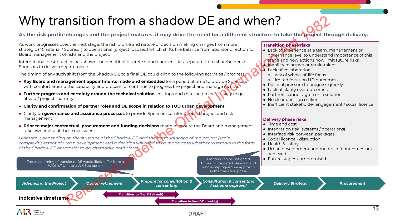# Why transition from a shadow DE and when?

### **As the risk profile changes and the project matures, it may drive the need for a different structure to take the project through delivery.**

As work progresses over the next stage, the risk profile and nature of decision making changes from more strategic (Ministerial / Sponsor) to operational (project focused) which shifts the balance from Sponsor direction to Board management of risks and the project.

International best practice has shown the benefit of discrete standalone entities, separate from shareholders / Sponsors to deliver mega-projects.

The timing of any such shift from the Shadow DE to a final DE could align to the following activities / progress:

- **Key Board and management appointments made and embedded** for a period of time to provide Sponsors with comfort around the capability and process for continue to progress the project and manage its risks
- **Further progress and certainty around the technical solution**, costings and that the project is likely to go ahead / project maturity
- **● Clarity and confirmation of partner roles and DE scope in relation to TOD urban development**
- Clarity on **governance and assurance processes** to provide Sponsors comfort around project and risk management
- **Prior to major contractual, procurement and funding decisions** made to ensure the Board and management take ownership of these decisions

*Ultimately, depending on the structure of the Shadow DE and the eventual scope of the project (scale, complexity, extent of urban development etc) a decision will need to be made as to whether to remain in the form of the Shadow DE or transfer to an alternative entity form.*

The exact timing of transfer to DE would likely differ from a WK/MoT Unit to a WK Sub option

### **Transition phase risks**

- Lack of experience at a team, management or governance level to understand importance of this
- stage and how actions now limit future risks
- **Inability to attract or retain talent**
- $\bullet$  Lack of collaboration:
	- Lack of whole-of-life focus
- Limited focus on UD outcomes
- Political pressure to progress quickly
- Lack of clarity over outcomes
- Partners cannot agree on a solution
- No clear decision maker
- Inefficient stakeholder engagement / social licence

### **Delivery phase risks**

- Time and cost
- Integration risk (systems / operations)
- Interface risk between packages
- Social licence disruption
- Health & safety
- Urban development and mode-shift outcomes not achieved
- Last two can be mitigated  $\|\cdot\|$  Future stages compromised

in the transition phase Advancing the Project **Advancing the Project Prepare for consultation &** *consenting Consultation & consenting / scheme approval Option refinement Delivery Strategy Procurement* **Transition to final DE (if entity) Transition to final DE (if unit) Indicative timeframe Conserver the stress of the conserver the conserver the conserver the Conserver the Conserver the Conserver the Conserver the Conserver the Conserver the Conserver the Conserver the Conserver the Conserver the Conserver** 

through integrated planning and whole-of-programme approach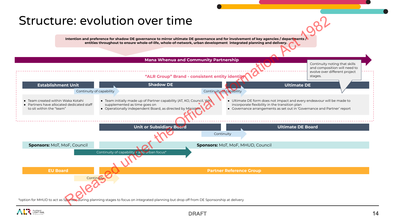### Structure: evolution over time

Intention and preference for shadow DE governance to mirror ultimate DE governance and for involvement of key agencies / departments **entities throughout to ensure whole-of-life, whole-of-network, urban development integrated planning and delivery.**